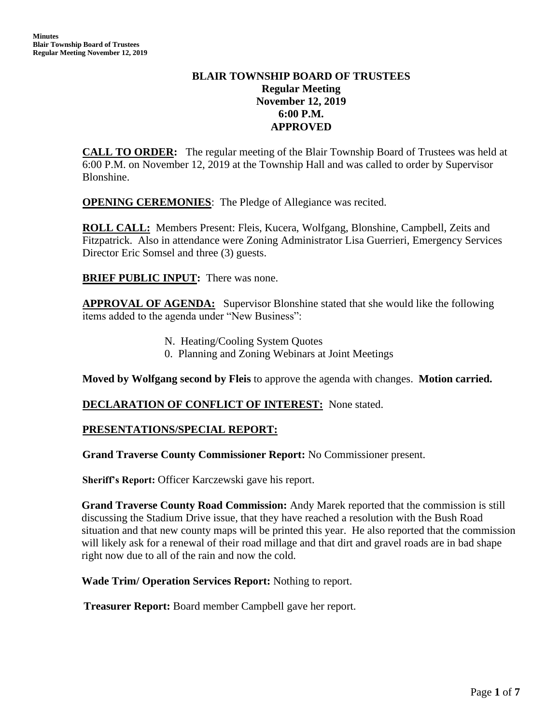# **BLAIR TOWNSHIP BOARD OF TRUSTEES Regular Meeting November 12, 2019 6:00 P.M. APPROVED**

**CALL TO ORDER:** The regular meeting of the Blair Township Board of Trustees was held at 6:00 P.M. on November 12, 2019 at the Township Hall and was called to order by Supervisor Blonshine.

**OPENING CEREMONIES**: The Pledge of Allegiance was recited.

**ROLL CALL:** Members Present: Fleis, Kucera, Wolfgang, Blonshine, Campbell, Zeits and Fitzpatrick. Also in attendance were Zoning Administrator Lisa Guerrieri, Emergency Services Director Eric Somsel and three (3) guests.

**BRIEF PUBLIC INPUT:** There was none.

**APPROVAL OF AGENDA:** Supervisor Blonshine stated that she would like the following items added to the agenda under "New Business":

- N. Heating/Cooling System Quotes
- 0. Planning and Zoning Webinars at Joint Meetings

**Moved by Wolfgang second by Fleis** to approve the agenda with changes. **Motion carried.**

### **DECLARATION OF CONFLICT OF INTEREST:** None stated.

### **PRESENTATIONS/SPECIAL REPORT:**

**Grand Traverse County Commissioner Report:** No Commissioner present.

**Sheriff's Report:** Officer Karczewski gave his report.

**Grand Traverse County Road Commission:** Andy Marek reported that the commission is still discussing the Stadium Drive issue, that they have reached a resolution with the Bush Road situation and that new county maps will be printed this year. He also reported that the commission will likely ask for a renewal of their road millage and that dirt and gravel roads are in bad shape right now due to all of the rain and now the cold.

**Wade Trim/ Operation Services Report:** Nothing to report.

 **Treasurer Report:** Board member Campbell gave her report.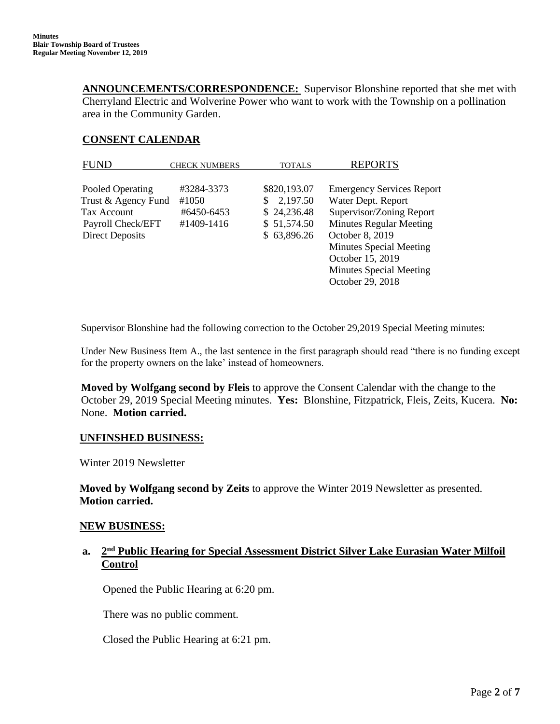**ANNOUNCEMENTS/CORRESPONDENCE:** Supervisor Blonshine reported that she met with Cherryland Electric and Wolverine Power who want to work with the Township on a pollination area in the Community Garden.

### **CONSENT CALENDAR**

| <b>FUND</b>            | <b>CHECK NUMBERS</b> | <b>TOTALS</b> | <b>REPORTS</b>                   |
|------------------------|----------------------|---------------|----------------------------------|
|                        |                      |               |                                  |
| Pooled Operating       | #3284-3373           | \$820,193.07  | <b>Emergency Services Report</b> |
| Trust & Agency Fund    | #1050                | 2,197.50      | Water Dept. Report               |
| Tax Account            | #6450-6453           | \$24,236.48   | Supervisor/Zoning Report         |
| Payroll Check/EFT      | #1409-1416           | \$51,574.50   | <b>Minutes Regular Meeting</b>   |
| <b>Direct Deposits</b> |                      | \$63,896.26   | October 8, 2019                  |
|                        |                      |               | Minutes Special Meeting          |
|                        |                      |               | October 15, 2019                 |
|                        |                      |               | Minutes Special Meeting          |
|                        |                      |               | October 29, 2018                 |

Supervisor Blonshine had the following correction to the October 29,2019 Special Meeting minutes:

Under New Business Item A., the last sentence in the first paragraph should read "there is no funding except for the property owners on the lake' instead of homeowners.

**Moved by Wolfgang second by Fleis** to approve the Consent Calendar with the change to the October 29, 2019 Special Meeting minutes. **Yes:** Blonshine, Fitzpatrick, Fleis, Zeits, Kucera. **No:** None. **Motion carried.**

#### **UNFINSHED BUSINESS:**

Winter 2019 Newsletter

 **Moved by Wolfgang second by Zeits** to approve the Winter 2019 Newsletter as presented.  **Motion carried.**

#### **NEW BUSINESS:**

## **a. 2 nd Public Hearing for Special Assessment District Silver Lake Eurasian Water Milfoil Control**

Opened the Public Hearing at 6:20 pm.

There was no public comment.

Closed the Public Hearing at 6:21 pm.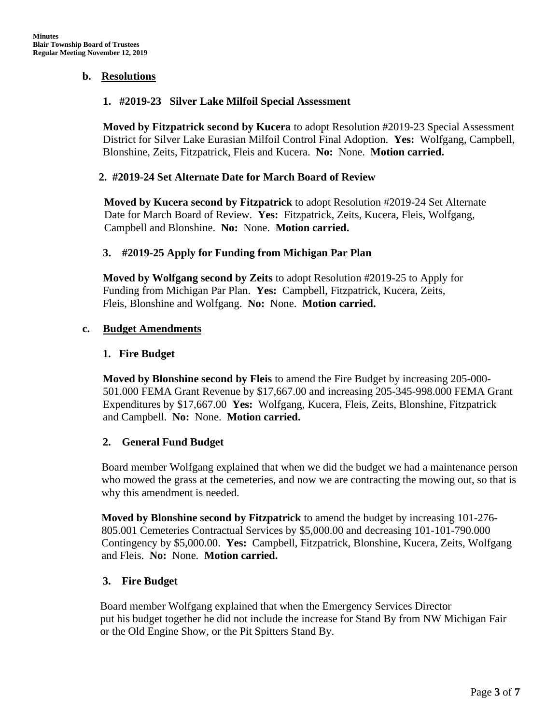### **b. Resolutions**

### **1. #2019-23 Silver Lake Milfoil Special Assessment**

**Moved by Fitzpatrick second by Kucera** to adopt Resolution #2019-23 Special Assessment District for Silver Lake Eurasian Milfoil Control Final Adoption. **Yes:** Wolfgang, Campbell, Blonshine, Zeits, Fitzpatrick, Fleis and Kucera. **No:** None. **Motion carried.**

## **2. #2019-24 Set Alternate Date for March Board of Review**

**Moved by Kucera second by Fitzpatrick** to adopt Resolution #2019-24 Set Alternate Date for March Board of Review. **Yes:** Fitzpatrick, Zeits, Kucera, Fleis, Wolfgang, Campbell and Blonshine. **No:** None. **Motion carried.**

## **3. #2019-25 Apply for Funding from Michigan Par Plan**

**Moved by Wolfgang second by Zeits** to adopt Resolution #2019-25 to Apply for Funding from Michigan Par Plan. **Yes:** Campbell, Fitzpatrick, Kucera, Zeits, Fleis, Blonshine and Wolfgang. **No:** None. **Motion carried.**

## **c. Budget Amendments**

### **1. Fire Budget**

 **Moved by Blonshine second by Fleis** to amend the Fire Budget by increasing 205-000- 501.000 FEMA Grant Revenue by \$17,667.00 and increasing 205-345-998.000 FEMA Grant Expenditures by \$17,667.00 **Yes:** Wolfgang, Kucera, Fleis, Zeits, Blonshine, Fitzpatrick and Campbell. **No:** None. **Motion carried.**

### **2. General Fund Budget**

Board member Wolfgang explained that when we did the budget we had a maintenance person who mowed the grass at the cemeteries, and now we are contracting the mowing out, so that is why this amendment is needed.

**Moved by Blonshine second by Fitzpatrick** to amend the budget by increasing 101-276- 805.001 Cemeteries Contractual Services by \$5,000.00 and decreasing 101-101-790.000 Contingency by \$5,000.00. **Yes:** Campbell, Fitzpatrick, Blonshine, Kucera, Zeits, Wolfgang and Fleis. **No:** None. **Motion carried.** 

# **3. Fire Budget**

 Board member Wolfgang explained that when the Emergency Services Director put his budget together he did not include the increase for Stand By from NW Michigan Fair or the Old Engine Show, or the Pit Spitters Stand By.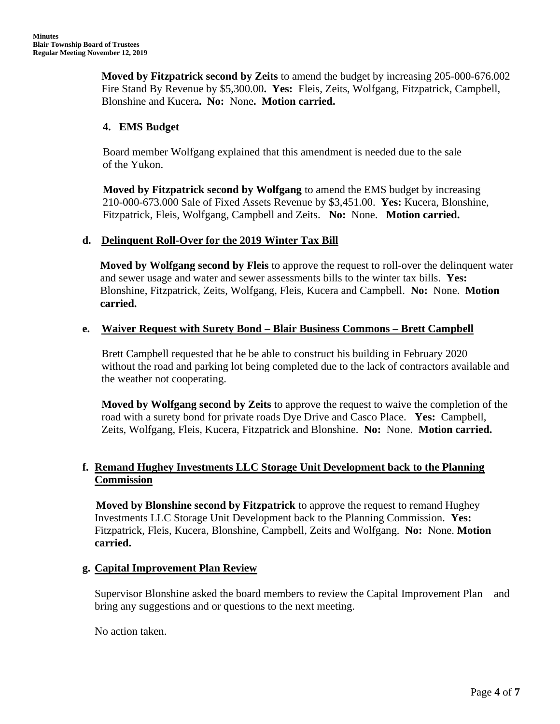**Moved by Fitzpatrick second by Zeits** to amend the budget by increasing 205-000-676.002 Fire Stand By Revenue by \$5,300.00**. Yes:** Fleis, Zeits, Wolfgang, Fitzpatrick, Campbell, Blonshine and Kucera**. No:** None**. Motion carried.**

# **4. EMS Budget**

Board member Wolfgang explained that this amendment is needed due to the sale of the Yukon.

**Moved by Fitzpatrick second by Wolfgang** to amend the EMS budget by increasing 210-000-673.000 Sale of Fixed Assets Revenue by \$3,451.00. **Yes:** Kucera, Blonshine, Fitzpatrick, Fleis, Wolfgang, Campbell and Zeits. **No:** None. **Motion carried.**

## **d. Delinquent Roll-Over for the 2019 Winter Tax Bill**

 **Moved by Wolfgang second by Fleis** to approve the request to roll-over the delinquent water and sewer usage and water and sewer assessments bills to the winter tax bills. **Yes:**  Blonshine, Fitzpatrick, Zeits, Wolfgang, Fleis, Kucera and Campbell. **No:** None. **Motion carried.**

## **e. Waiver Request with Surety Bond – Blair Business Commons – Brett Campbell**

Brett Campbell requested that he be able to construct his building in February 2020 without the road and parking lot being completed due to the lack of contractors available and the weather not cooperating.

**Moved by Wolfgang second by Zeits** to approve the request to waive the completion of the road with a surety bond for private roads Dye Drive and Casco Place. **Yes:** Campbell, Zeits, Wolfgang, Fleis, Kucera, Fitzpatrick and Blonshine. **No:** None. **Motion carried.**

# **f. Remand Hughey Investments LLC Storage Unit Development back to the Planning Commission**

 **Moved by Blonshine second by Fitzpatrick** to approve the request to remand Hughey Investments LLC Storage Unit Development back to the Planning Commission. **Yes:**  Fitzpatrick, Fleis, Kucera, Blonshine, Campbell, Zeits and Wolfgang. **No:** None. **Motion carried.**

# **g. Capital Improvement Plan Review**

Supervisor Blonshine asked the board members to review the Capital Improvement Plan and bring any suggestions and or questions to the next meeting.

No action taken.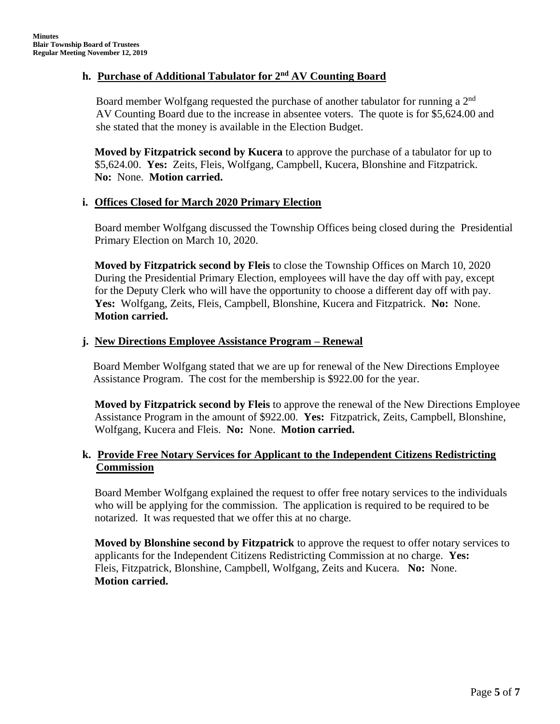### **h. Purchase of Additional Tabulator for 2nd AV Counting Board**

Board member Wolfgang requested the purchase of another tabulator for running a 2<sup>nd</sup> AV Counting Board due to the increase in absentee voters. The quote is for \$5,624.00 and she stated that the money is available in the Election Budget.

**Moved by Fitzpatrick second by Kucera** to approve the purchase of a tabulator for up to \$5,624.00. **Yes:** Zeits, Fleis, Wolfgang, Campbell, Kucera, Blonshine and Fitzpatrick. **No:** None. **Motion carried.**

### **i. Offices Closed for March 2020 Primary Election**

Board member Wolfgang discussed the Township Offices being closed during the Presidential Primary Election on March 10, 2020.

**Moved by Fitzpatrick second by Fleis** to close the Township Offices on March 10, 2020 During the Presidential Primary Election, employees will have the day off with pay, except for the Deputy Clerk who will have the opportunity to choose a different day off with pay. **Yes:** Wolfgang, Zeits, Fleis, Campbell, Blonshine, Kucera and Fitzpatrick. **No:** None. **Motion carried.**

## **j. New Directions Employee Assistance Program – Renewal**

 Board Member Wolfgang stated that we are up for renewal of the New Directions Employee Assistance Program. The cost for the membership is \$922.00 for the year.

**Moved by Fitzpatrick second by Fleis** to approve the renewal of the New Directions Employee Assistance Program in the amount of \$922.00. **Yes:** Fitzpatrick, Zeits, Campbell, Blonshine, Wolfgang, Kucera and Fleis. **No:** None. **Motion carried.**

# **k. Provide Free Notary Services for Applicant to the Independent Citizens Redistricting Commission**

Board Member Wolfgang explained the request to offer free notary services to the individuals who will be applying for the commission. The application is required to be required to be notarized. It was requested that we offer this at no charge.

**Moved by Blonshine second by Fitzpatrick** to approve the request to offer notary services to applicants for the Independent Citizens Redistricting Commission at no charge. **Yes:** Fleis, Fitzpatrick, Blonshine, Campbell, Wolfgang, Zeits and Kucera. **No:** None. **Motion carried.**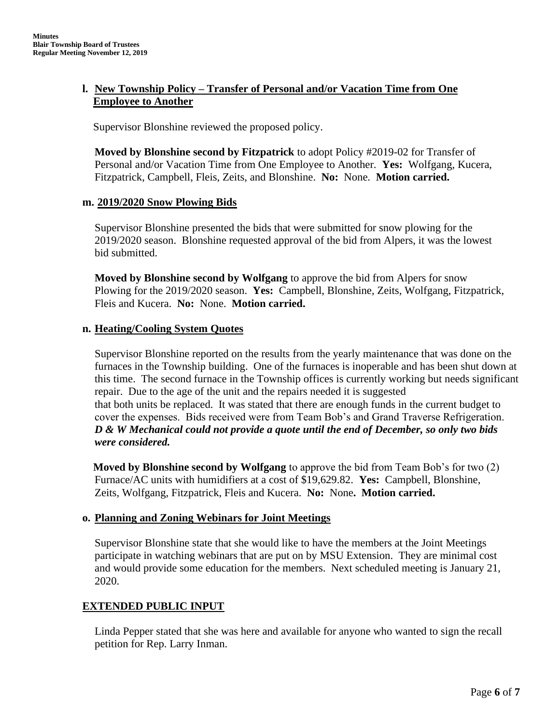# **l. New Township Policy – Transfer of Personal and/or Vacation Time from One Employee to Another**

Supervisor Blonshine reviewed the proposed policy.

**Moved by Blonshine second by Fitzpatrick** to adopt Policy #2019-02 for Transfer of Personal and/or Vacation Time from One Employee to Another. **Yes:** Wolfgang, Kucera, Fitzpatrick, Campbell, Fleis, Zeits, and Blonshine. **No:** None. **Motion carried.**

### **m. 2019/2020 Snow Plowing Bids**

Supervisor Blonshine presented the bids that were submitted for snow plowing for the 2019/2020 season. Blonshine requested approval of the bid from Alpers, it was the lowest bid submitted.

**Moved by Blonshine second by Wolfgang** to approve the bid from Alpers for snow Plowing for the 2019/2020 season. **Yes:** Campbell, Blonshine, Zeits, Wolfgang, Fitzpatrick, Fleis and Kucera. **No:** None. **Motion carried.**

### **n. Heating/Cooling System Quotes**

Supervisor Blonshine reported on the results from the yearly maintenance that was done on the furnaces in the Township building. One of the furnaces is inoperable and has been shut down at this time. The second furnace in the Township offices is currently working but needs significant repair. Due to the age of the unit and the repairs needed it is suggested that both units be replaced. It was stated that there are enough funds in the current budget to cover the expenses. Bids received were from Team Bob's and Grand Traverse Refrigeration. *D & W Mechanical could not provide a quote until the end of December, so only two bids were considered.*

 **Moved by Blonshine second by Wolfgang** to approve the bid from Team Bob's for two (2) Furnace/AC units with humidifiers at a cost of \$19,629.82. **Yes:** Campbell, Blonshine, Zeits, Wolfgang, Fitzpatrick, Fleis and Kucera. **No:** None**. Motion carried.**

### **o. Planning and Zoning Webinars for Joint Meetings**

Supervisor Blonshine state that she would like to have the members at the Joint Meetings participate in watching webinars that are put on by MSU Extension. They are minimal cost and would provide some education for the members. Next scheduled meeting is January 21, 2020.

### **EXTENDED PUBLIC INPUT**

Linda Pepper stated that she was here and available for anyone who wanted to sign the recall petition for Rep. Larry Inman.